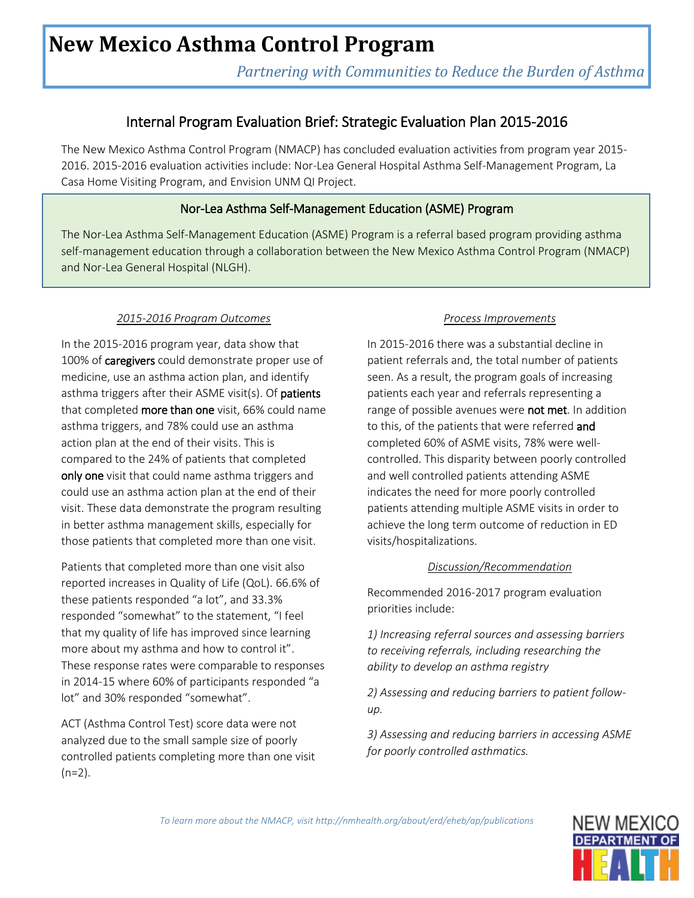# **New Mexico Asthma Control Program**

*Partnering with Communities to Reduce the Burden of Asthma* 

# Internal Program Evaluation Brief: Strategic Evaluation Plan 2015-2016

The New Mexico Asthma Control Program (NMACP) has concluded evaluation activities from program year 2015- 2016. 2015-2016 evaluation activities include: Nor-Lea General Hospital Asthma Self-Management Program, La Casa Home Visiting Program, and Envision UNM QI Project.

# Nor-Lea Asthma Self-Management Education (ASME) Program

The Nor-Lea Asthma Self-Management Education (ASME) Program is a referral based program providing asthma self-management education through a collaboration between the New Mexico Asthma Control Program (NMACP) and Nor-Lea General Hospital (NLGH).

## *2015-2016 Program Outcomes*

Ī

In the 2015-2016 program year, data show that 100% of caregivers could demonstrate proper use of medicine, use an asthma action plan, and identify asthma triggers after their ASME visit(s). Of patients that completed more than one visit, 66% could name asthma triggers, and 78% could use an asthma action plan at the end of their visits. This is compared to the 24% of patients that completed only one visit that could name asthma triggers and could use an asthma action plan at the end of their visit. These data demonstrate the program resulting in better asthma management skills, especially for those patients that completed more than one visit.

Patients that completed more than one visit also reported increases in Quality of Life (QoL). 66.6% of these patients responded "a lot", and 33.3% responded "somewhat" to the statement, "I feel that my quality of life has improved since learning more about my asthma and how to control it". These response rates were comparable to responses in 2014-15 where 60% of participants responded "a lot" and 30% responded "somewhat".

ACT (Asthma Control Test) score data were not analyzed due to the small sample size of poorly controlled patients completing more than one visit  $(n=2)$ .

#### *Process Improvements*

In 2015-2016 there was a substantial decline in patient referrals and, the total number of patients seen. As a result, the program goals of increasing patients each year and referrals representing a range of possible avenues were not met. In addition to this, of the patients that were referred and completed 60% of ASME visits, 78% were wellcontrolled. This disparity between poorly controlled and well controlled patients attending ASME indicates the need for more poorly controlled patients attending multiple ASME visits in order to achieve the long term outcome of reduction in ED visits/hospitalizations.

## *Discussion/Recommendation*

Recommended 2016-2017 program evaluation priorities include:

*1) Increasing referral sources and assessing barriers to receiving referrals, including researching the ability to develop an asthma registry*

*2) Assessing and reducing barriers to patient followup.*

*3) Assessing and reducing barriers in accessing ASME for poorly controlled asthmatics.*

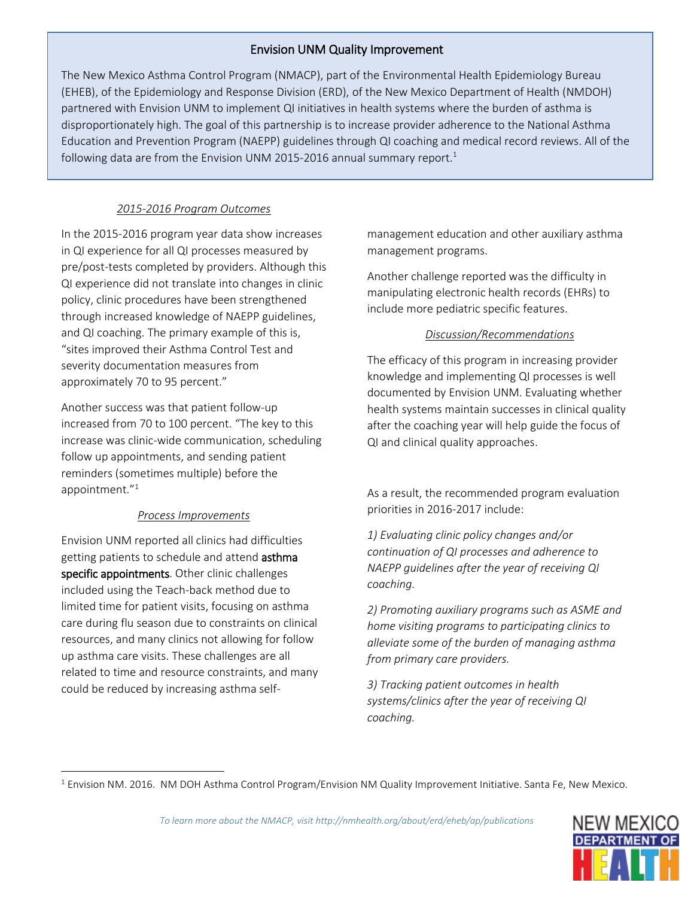# Envision UNM Quality Improvement

The New Mexico Asthma Control Program (NMACP), part of the Environmental Health Epidemiology Bureau (EHEB), of the Epidemiology and Response Division (ERD), of the New Mexico Department of Health (NMDOH) partnered with Envision UNM to implement QI initiatives in health systems where the burden of asthma is disproportionately high. The goal of this partnership is to increase provider adherence to the National Asthma Education and Prevention Program (NAEPP) guidelines through QI coaching and medical record reviews. All of the following data are from the Envision UNM 2015-2016 annual summary report.<sup>1</sup>

# *2015-2016 Program Outcomes*

In the 2015-2016 program year data show increases in QI experience for all QI processes measured by pre/post-tests completed by providers. Although this QI experience did not translate into changes in clinic policy, clinic procedures have been strengthened through increased knowledge of NAEPP guidelines, and QI coaching. The primary example of this is, "sites improved their Asthma Control Test and severity documentation measures from approximately 70 to 95 percent."

Another success was that patient follow‐up increased from 70 to 100 percent. "The key to this increase was clinic‐wide communication, scheduling follow up appointments, and sending patient reminders (sometimes multiple) before the appointment." 1

## *Process Improvements*

Envision UNM reported all clinics had difficulties getting patients to schedule and attend asthma specific appointments. Other clinic challenges included using the Teach-back method due to limited time for patient visits, focusing on asthma care during flu season due to constraints on clinical resources, and many clinics not allowing for follow up asthma care visits. These challenges are all related to time and resource constraints, and many could be reduced by increasing asthma self-

 $\overline{a}$ 

management education and other auxiliary asthma management programs.

Another challenge reported was the difficulty in manipulating electronic health records (EHRs) to include more pediatric specific features.

## *Discussion/Recommendations*

The efficacy of this program in increasing provider knowledge and implementing QI processes is well documented by Envision UNM. Evaluating whether health systems maintain successes in clinical quality after the coaching year will help guide the focus of QI and clinical quality approaches.

As a result, the recommended program evaluation priorities in 2016-2017 include:

*1) Evaluating clinic policy changes and/or continuation of QI processes and adherence to NAEPP guidelines after the year of receiving QI coaching.* 

*2) Promoting auxiliary programs such as ASME and home visiting programs to participating clinics to alleviate some of the burden of managing asthma from primary care providers.* 

*3) Tracking patient outcomes in health systems/clinics after the year of receiving QI coaching.*



<sup>1</sup> Envision NM. 2016. NM DOH Asthma Control Program/Envision NM Quality Improvement Initiative. Santa Fe, New Mexico.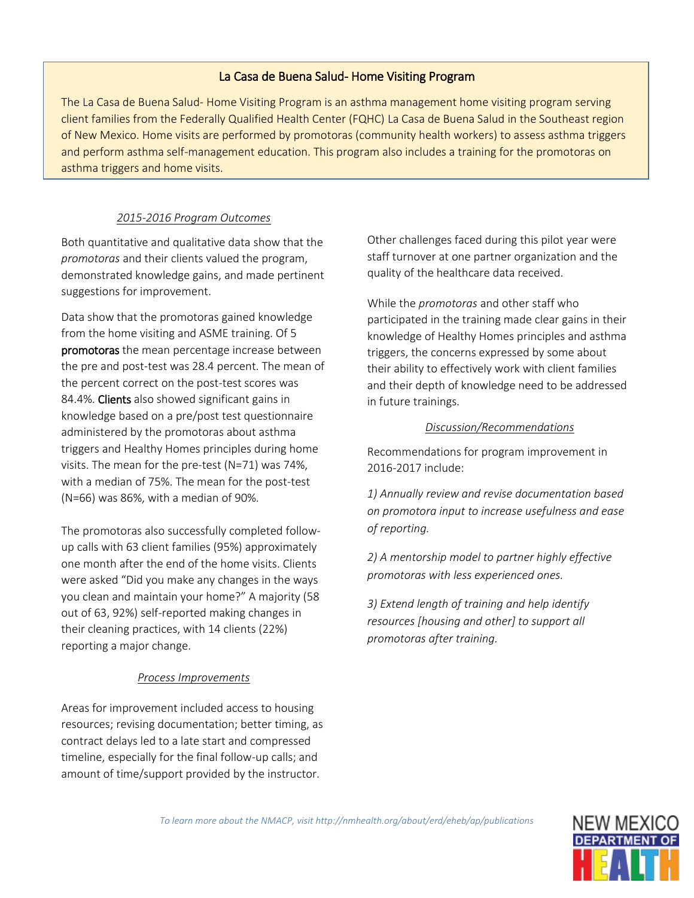#### La Casa de Buena Salud- Home Visiting Program

The La Casa de Buena Salud- Home Visiting Program is an asthma management home visiting program serving client families from the Federally Qualified Health Center (FQHC) La Casa de Buena Salud in the Southeast region of New Mexico. Home visits are performed by promotoras (community health workers) to assess asthma triggers and perform asthma self-management education. This program also includes a training for the promotoras on asthma triggers and home visits.

#### *2015-2016 Program Outcomes*

Both quantitative and qualitative data show that the *promotoras* and their clients valued the program, demonstrated knowledge gains, and made pertinent suggestions for improvement.

Data show that the promotoras gained knowledge from the home visiting and ASME training. Of 5 promotoras the mean percentage increase between the pre and post-test was 28.4 percent. The mean of the percent correct on the post-test scores was 84.4%. Clients also showed significant gains in knowledge based on a pre/post test questionnaire administered by the promotoras about asthma triggers and Healthy Homes principles during home visits. The mean for the pre-test (N=71) was 74%, with a median of 75%. The mean for the post-test (N=66) was 86%, with a median of 90%.

The promotoras also successfully completed followup calls with 63 client families (95%) approximately one month after the end of the home visits. Clients were asked "Did you make any changes in the ways you clean and maintain your home?" A majority (58 out of 63, 92%) self-reported making changes in their cleaning practices, with 14 clients (22%) reporting a major change.

#### *Process Improvements*

Areas for improvement included access to housing resources; revising documentation; better timing, as contract delays led to a late start and compressed timeline, especially for the final follow-up calls; and amount of time/support provided by the instructor.

Other challenges faced during this pilot year were staff turnover at one partner organization and the quality of the healthcare data received.

While the *promotoras* and other staff who participated in the training made clear gains in their knowledge of Healthy Homes principles and asthma triggers, the concerns expressed by some about their ability to effectively work with client families and their depth of knowledge need to be addressed in future trainings.

#### *Discussion/Recommendations*

Recommendations for program improvement in 2016-2017 include:

*1) Annually review and revise documentation based on promotora input to increase usefulness and ease of reporting.*

*2) A mentorship model to partner highly effective promotoras with less experienced ones.*

*3) Extend length of training and help identify resources [housing and other] to support all promotoras after training.*